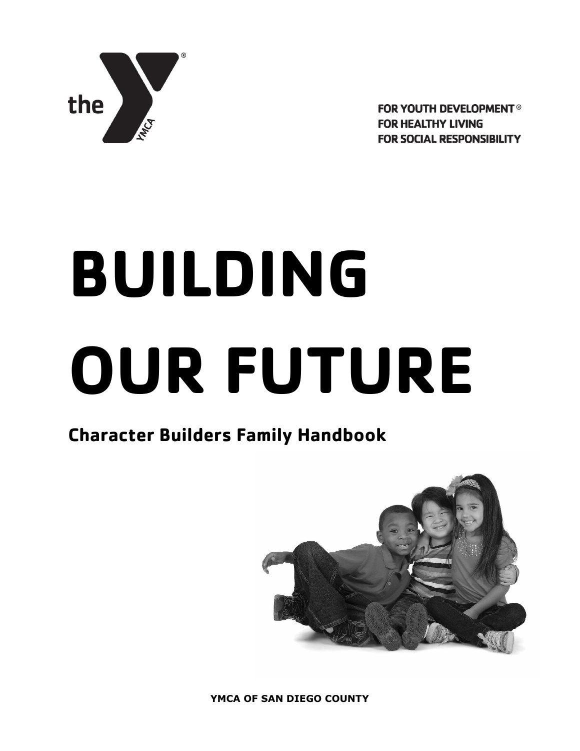

**FOR YOUTH DEVELOPMENT® FOR HEALTHY LIVING FOR SOCIAL RESPONSIBILITY** 

# **BUILDING OUR FUTURE**

# **Character Builders Family Handbook**

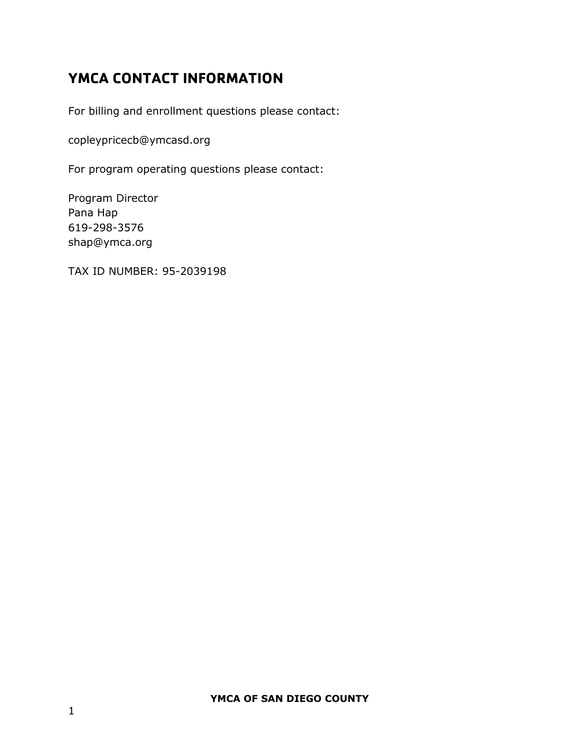# <span id="page-1-0"></span>**YMCA CONTACT INFORMATION**

For billing and enrollment questions please contact:

copleypricecb@ymcasd.org

For program operating questions please contact:

Program Director Pana Hap 619-298-3576 shap@ymca.org

TAX ID NUMBER: 95-2039198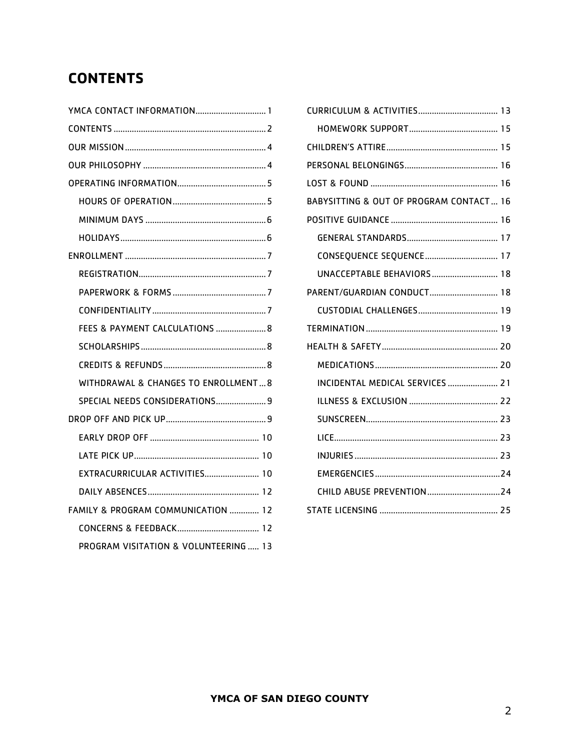# <span id="page-2-0"></span>**CONTENTS**

| YMCA CONTACT INFORMATION 1            |
|---------------------------------------|
|                                       |
|                                       |
|                                       |
|                                       |
|                                       |
|                                       |
|                                       |
|                                       |
|                                       |
|                                       |
|                                       |
| FEES & PAYMENT CALCULATIONS  8        |
|                                       |
|                                       |
| WITHDRAWAL & CHANGES TO ENROLLMENT 8  |
| SPECIAL NEEDS CONSIDERATIONS 9        |
|                                       |
|                                       |
|                                       |
| EXTRACURRICULAR ACTIVITIES 10         |
|                                       |
| FAMILY & PROGRAM COMMUNICATION  12    |
|                                       |
| PROGRAM VISITATION & VOLUNTEERING  13 |

| BABYSITTING & OUT OF PROGRAM CONTACT 16 |  |
|-----------------------------------------|--|
|                                         |  |
|                                         |  |
| CONSEQUENCE SEQUENCE 17                 |  |
| UNACCEPTABLE BEHAVIORS  18              |  |
| PARENT/GUARDIAN CONDUCT 18              |  |
|                                         |  |
|                                         |  |
|                                         |  |
|                                         |  |
| INCIDENTAL MEDICAL SERVICES  21         |  |
|                                         |  |
|                                         |  |
|                                         |  |
|                                         |  |
|                                         |  |
|                                         |  |
|                                         |  |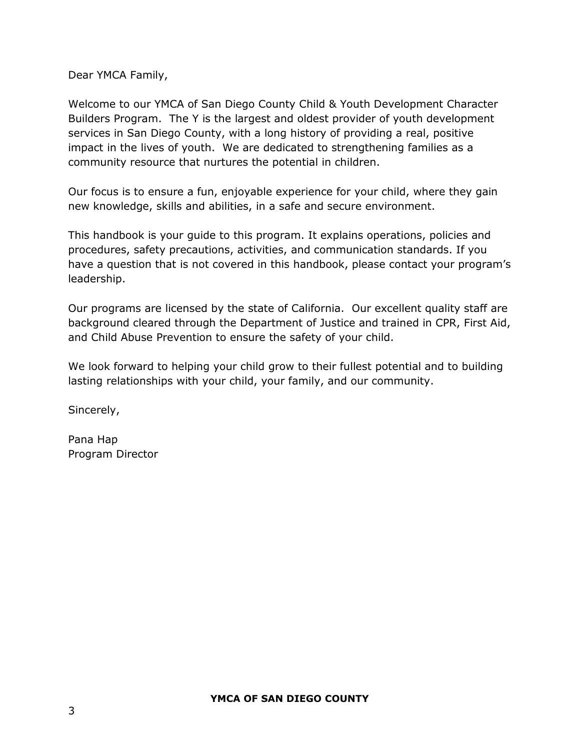Dear YMCA Family,

Welcome to our YMCA of San Diego County Child & Youth Development Character Builders Program. The Y is the largest and oldest provider of youth development services in San Diego County, with a long history of providing a real, positive impact in the lives of youth. We are dedicated to strengthening families as a community resource that nurtures the potential in children.

Our focus is to ensure a fun, enjoyable experience for your child, where they gain new knowledge, skills and abilities, in a safe and secure environment.

This handbook is your guide to this program. It explains operations, policies and procedures, safety precautions, activities, and communication standards. If you have a question that is not covered in this handbook, please contact your program's leadership.

Our programs are licensed by the state of California. Our excellent quality staff are background cleared through the Department of Justice and trained in CPR, First Aid, and Child Abuse Prevention to ensure the safety of your child.

We look forward to helping your child grow to their fullest potential and to building lasting relationships with your child, your family, and our community.

Sincerely,

Pana Hap Program Director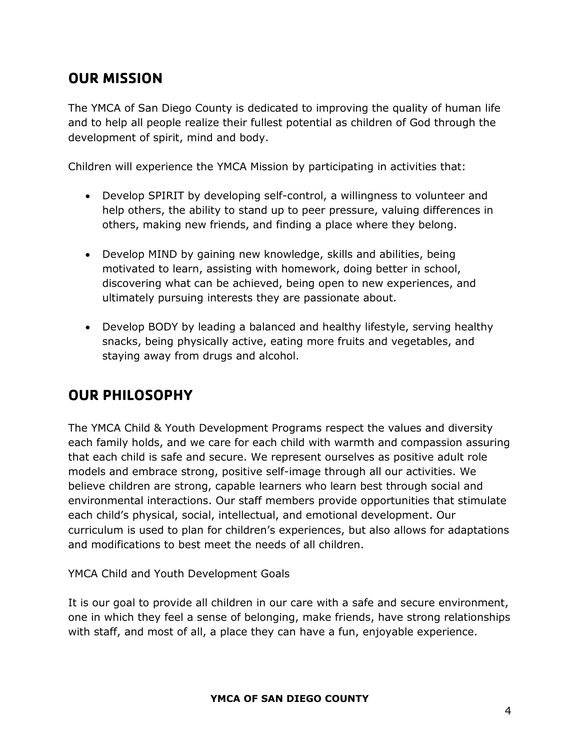# <span id="page-4-0"></span>**OUR MISSION**

The YMCA of San Diego County is dedicated to improving the quality of human life and to help all people realize their fullest potential as children of God through the development of spirit, mind and body.

Children will experience the YMCA Mission by participating in activities that:

- Develop SPIRIT by developing self-control, a willingness to volunteer and help others, the ability to stand up to peer pressure, valuing differences in others, making new friends, and finding a place where they belong.
- Develop MIND by gaining new knowledge, skills and abilities, being motivated to learn, assisting with homework, doing better in school, discovering what can be achieved, being open to new experiences, and ultimately pursuing interests they are passionate about.
- Develop BODY by leading a balanced and healthy lifestyle, serving healthy snacks, being physically active, eating more fruits and vegetables, and staying away from drugs and alcohol.

# <span id="page-4-1"></span>**OUR PHILOSOPHY**

The YMCA Child & Youth Development Programs respect the values and diversity each family holds, and we care for each child with warmth and compassion assuring that each child is safe and secure. We represent ourselves as positive adult role models and embrace strong, positive self-image through all our activities. We believe children are strong, capable learners who learn best through social and environmental interactions. Our staff members provide opportunities that stimulate each child's physical, social, intellectual, and emotional development. Our curriculum is used to plan for children's experiences, but also allows for adaptations and modifications to best meet the needs of all children.

YMCA Child and Youth Development Goals

It is our goal to provide all children in our care with a safe and secure environment, one in which they feel a sense of belonging, make friends, have strong relationships with staff, and most of all, a place they can have a fun, enjoyable experience.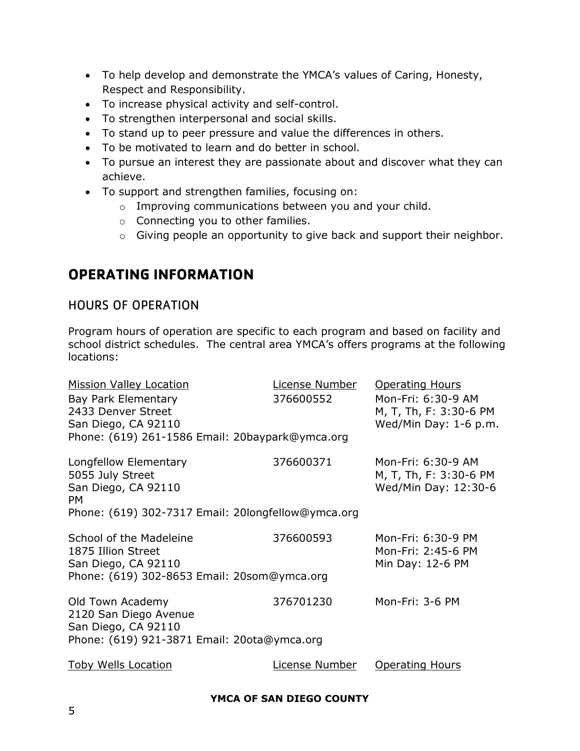- To help develop and demonstrate the YMCA's values of Caring, Honesty, Respect and Responsibility.
- To increase physical activity and self-control.
- To strengthen interpersonal and social skills.
- To stand up to peer pressure and value the differences in others.
- To be motivated to learn and do better in school.
- To pursue an interest they are passionate about and discover what they can achieve.
- To support and strengthen families, focusing on:
	- o Improving communications between you and your child.
	- o Connecting you to other families.
	- o Giving people an opportunity to give back and support their neighbor.

# <span id="page-5-0"></span>**OPERATING INFORMATION**

## <span id="page-5-1"></span>HOURS OF OPERATION

Program hours of operation are specific to each program and based on facility and school district schedules. The central area YMCA's offers programs at the following locations:

| <b>Mission Valley Location</b><br>Bay Park Elementary<br>2433 Denver Street<br>San Diego, CA 92110<br>Phone: (619) 261-1586 Email: 20baypark@ymca.org | License Number<br>376600552 | <b>Operating Hours</b><br>Mon-Fri: 6:30-9 AM<br>M, T, Th, F: 3:30-6 PM<br>Wed/Min Day: 1-6 p.m. |
|-------------------------------------------------------------------------------------------------------------------------------------------------------|-----------------------------|-------------------------------------------------------------------------------------------------|
| Longfellow Elementary<br>5055 July Street<br>San Diego, CA 92110<br><b>PM</b><br>Phone: (619) 302-7317 Email: 20longfellow@ymca.org                   | 376600371                   | Mon-Fri: 6:30-9 AM<br>M, T, Th, F: 3:30-6 PM<br>Wed/Min Day: 12:30-6                            |
| School of the Madeleine<br>1875 Illion Street<br>San Diego, CA 92110<br>Phone: (619) 302-8653 Email: 20som@ymca.org                                   | 376600593                   | Mon-Fri: 6:30-9 PM<br>Mon-Fri: 2:45-6 PM<br>Min Day: 12-6 PM                                    |
| Old Town Academy<br>2120 San Diego Avenue<br>San Diego, CA 92110<br>Phone: (619) 921-3871 Email: 20ota@ymca.org                                       | 376701230                   | Mon-Fri: 3-6 PM                                                                                 |
| <b>Toby Wells Location</b>                                                                                                                            | License Number              | <b>Operating Hours</b>                                                                          |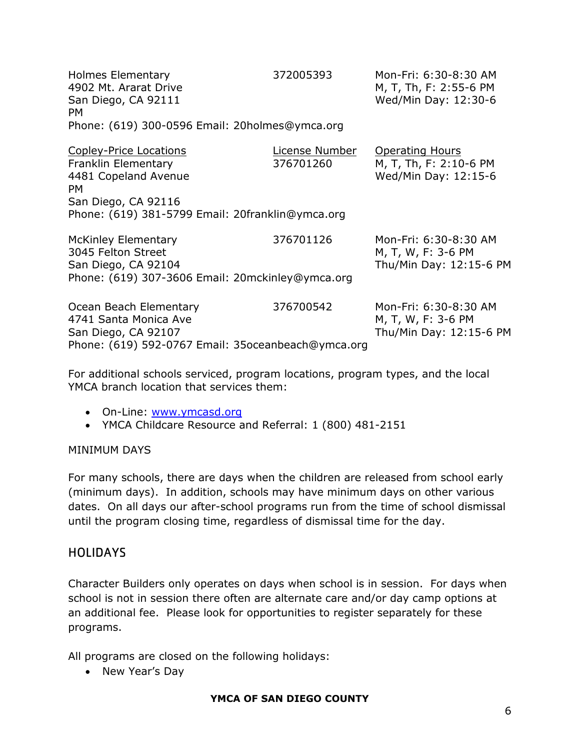| <b>Holmes Elementary</b><br>4902 Mt. Ararat Drive<br>San Diego, CA 92111<br>PM.                                                  | 372005393                   | Mon-Fri: 6:30-8:30 AM<br>M, T, Th, F: 2:55-6 PM<br>Wed/Min Day: 12:30-6  |  |  |  |  |
|----------------------------------------------------------------------------------------------------------------------------------|-----------------------------|--------------------------------------------------------------------------|--|--|--|--|
| Phone: (619) 300-0596 Email: 20holmes@ymca.org                                                                                   |                             |                                                                          |  |  |  |  |
| <b>Copley-Price Locations</b><br>Franklin Elementary<br>4481 Copeland Avenue<br>PM.<br>San Diego, CA 92116                       | License Number<br>376701260 | <b>Operating Hours</b><br>M, T, Th, F: 2:10-6 PM<br>Wed/Min Day: 12:15-6 |  |  |  |  |
| Phone: (619) 381-5799 Email: 20franklin@ymca.org                                                                                 |                             |                                                                          |  |  |  |  |
| <b>McKinley Elementary</b><br>3045 Felton Street<br>San Diego, CA 92104<br>Phone: (619) 307-3606 Email: 20mckinley@ymca.org      | 376701126                   | Mon-Fri: 6:30-8:30 AM<br>M, T, W, F: 3-6 PM<br>Thu/Min Day: 12:15-6 PM   |  |  |  |  |
|                                                                                                                                  |                             |                                                                          |  |  |  |  |
| Ocean Beach Elementary<br>4741 Santa Monica Ave<br>San Diego, CA 92107<br>Phone: (619) 592-0767 Email: 35 ocean beach @ ymca.org | 376700542                   | Mon-Fri: 6:30-8:30 AM<br>M, T, W, F: 3-6 PM<br>Thu/Min Day: 12:15-6 PM   |  |  |  |  |
|                                                                                                                                  |                             |                                                                          |  |  |  |  |

For additional schools serviced, program locations, program types, and the local YMCA branch location that services them:

- <span id="page-6-0"></span>On-Line: [www.ymcasd.org](http://www.ymcasd.org/)
- YMCA Childcare Resource and Referral: 1 (800) 481-2151

#### MINIMUM DAYS

For many schools, there are days when the children are released from school early (minimum days). In addition, schools may have minimum days on other various dates. On all days our after-school programs run from the time of school dismissal until the program closing time, regardless of dismissal time for the day.

#### <span id="page-6-1"></span>HOLIDAYS

Character Builders only operates on days when school is in session. For days when school is not in session there often are alternate care and/or day camp options at an additional fee. Please look for opportunities to register separately for these programs.

All programs are closed on the following holidays:

• New Year's Day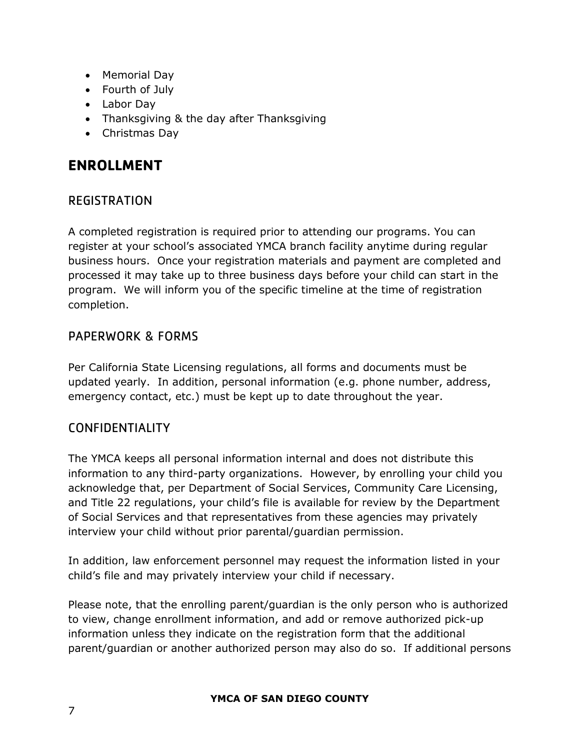- Memorial Day
- Fourth of July
- Labor Day
- Thanksgiving & the day after Thanksgiving
- Christmas Day

# <span id="page-7-0"></span>**ENROLLMENT**

## <span id="page-7-1"></span>REGISTRATION

A completed registration is required prior to attending our programs. You can register at your school's associated YMCA branch facility anytime during regular business hours. Once your registration materials and payment are completed and processed it may take up to three business days before your child can start in the program. We will inform you of the specific timeline at the time of registration completion.

## <span id="page-7-2"></span>PAPERWORK & FORMS

Per California State Licensing regulations, all forms and documents must be updated yearly. In addition, personal information (e.g. phone number, address, emergency contact, etc.) must be kept up to date throughout the year.

## <span id="page-7-3"></span>CONFIDENTIALITY

The YMCA keeps all personal information internal and does not distribute this information to any third-party organizations. However, by enrolling your child you acknowledge that, per Department of Social Services, Community Care Licensing, and Title 22 regulations, your child's file is available for review by the Department of Social Services and that representatives from these agencies may privately interview your child without prior parental/guardian permission.

In addition, law enforcement personnel may request the information listed in your child's file and may privately interview your child if necessary.

Please note, that the enrolling parent/guardian is the only person who is authorized to view, change enrollment information, and add or remove authorized pick-up information unless they indicate on the registration form that the additional parent/guardian or another authorized person may also do so. If additional persons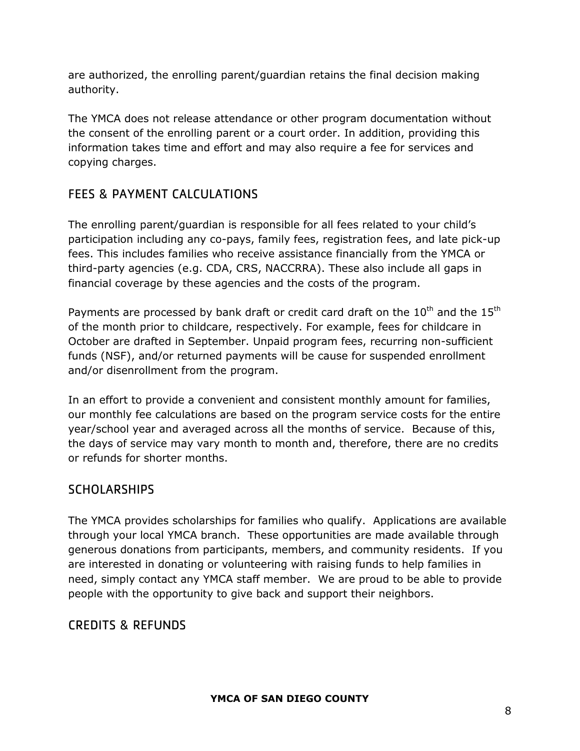are authorized, the enrolling parent/guardian retains the final decision making authority.

The YMCA does not release attendance or other program documentation without the consent of the enrolling parent or a court order. In addition, providing this information takes time and effort and may also require a fee for services and copying charges.

# <span id="page-8-0"></span>FEES & PAYMENT CALCULATIONS

The enrolling parent/guardian is responsible for all fees related to your child's participation including any co-pays, family fees, registration fees, and late pick-up fees. This includes families who receive assistance financially from the YMCA or third-party agencies (e.g. CDA, CRS, NACCRRA). These also include all gaps in financial coverage by these agencies and the costs of the program.

Payments are processed by bank draft or credit card draft on the  $10^{th}$  and the  $15^{th}$ of the month prior to childcare, respectively. For example, fees for childcare in October are drafted in September. Unpaid program fees, recurring non-sufficient funds (NSF), and/or returned payments will be cause for suspended enrollment and/or disenrollment from the program.

In an effort to provide a convenient and consistent monthly amount for families, our monthly fee calculations are based on the program service costs for the entire year/school year and averaged across all the months of service. Because of this, the days of service may vary month to month and, therefore, there are no credits or refunds for shorter months.

# <span id="page-8-1"></span>**SCHOLARSHIPS**

The YMCA provides scholarships for families who qualify. Applications are available through your local YMCA branch. These opportunities are made available through generous donations from participants, members, and community residents. If you are interested in donating or volunteering with raising funds to help families in need, simply contact any YMCA staff member. We are proud to be able to provide people with the opportunity to give back and support their neighbors.

# <span id="page-8-2"></span>CREDITS & REFUNDS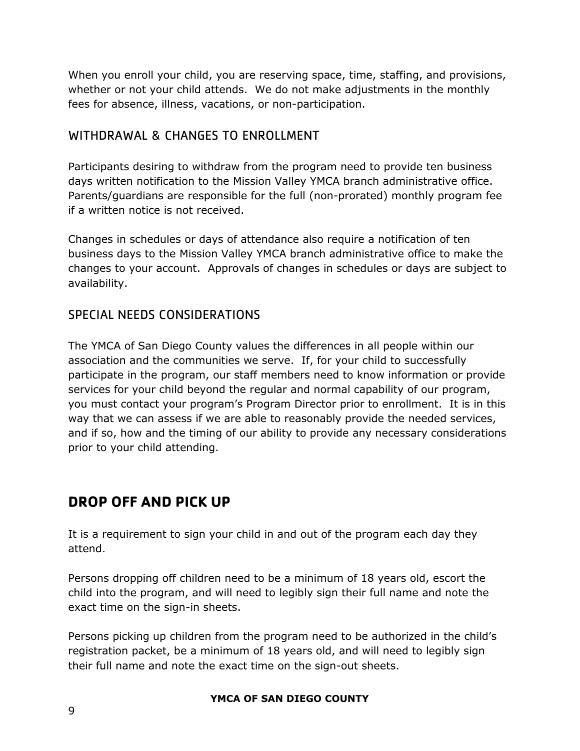When you enroll your child, you are reserving space, time, staffing, and provisions, whether or not your child attends. We do not make adjustments in the monthly fees for absence, illness, vacations, or non-participation.

## <span id="page-9-0"></span>WITHDRAWAL & CHANGES TO ENROLLMENT

Participants desiring to withdraw from the program need to provide ten business days written notification to the Mission Valley YMCA branch administrative office. Parents/guardians are responsible for the full (non-prorated) monthly program fee if a written notice is not received.

Changes in schedules or days of attendance also require a notification of ten business days to the Mission Valley YMCA branch administrative office to make the changes to your account. Approvals of changes in schedules or days are subject to availability.

## <span id="page-9-1"></span>SPECIAL NEEDS CONSIDERATIONS

The YMCA of San Diego County values the differences in all people within our association and the communities we serve. If, for your child to successfully participate in the program, our staff members need to know information or provide services for your child beyond the regular and normal capability of our program, you must contact your program's Program Director prior to enrollment. It is in this way that we can assess if we are able to reasonably provide the needed services, and if so, how and the timing of our ability to provide any necessary considerations prior to your child attending.

# <span id="page-9-2"></span>**DROP OFF AND PICK UP**

It is a requirement to sign your child in and out of the program each day they attend.

Persons dropping off children need to be a minimum of 18 years old, escort the child into the program, and will need to legibly sign their full name and note the exact time on the sign-in sheets.

Persons picking up children from the program need to be authorized in the child's registration packet, be a minimum of 18 years old, and will need to legibly sign their full name and note the exact time on the sign-out sheets.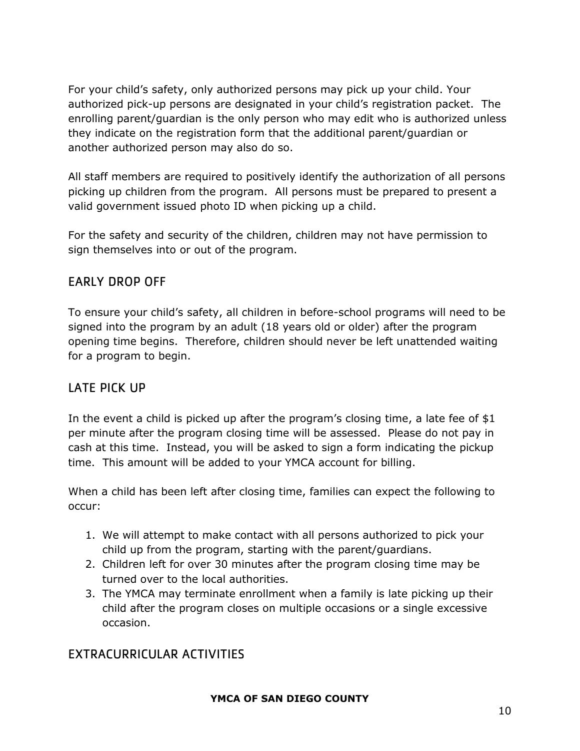For your child's safety, only authorized persons may pick up your child. Your authorized pick-up persons are designated in your child's registration packet. The enrolling parent/guardian is the only person who may edit who is authorized unless they indicate on the registration form that the additional parent/guardian or another authorized person may also do so.

All staff members are required to positively identify the authorization of all persons picking up children from the program. All persons must be prepared to present a valid government issued photo ID when picking up a child.

For the safety and security of the children, children may not have permission to sign themselves into or out of the program.

## <span id="page-10-0"></span>EARLY DROP OFF

To ensure your child's safety, all children in before-school programs will need to be signed into the program by an adult (18 years old or older) after the program opening time begins. Therefore, children should never be left unattended waiting for a program to begin.

## <span id="page-10-1"></span>LATE PICK UP

In the event a child is picked up after the program's closing time, a late fee of \$1 per minute after the program closing time will be assessed. Please do not pay in cash at this time. Instead, you will be asked to sign a form indicating the pickup time. This amount will be added to your YMCA account for billing.

When a child has been left after closing time, families can expect the following to occur:

- 1. We will attempt to make contact with all persons authorized to pick your child up from the program, starting with the parent/guardians.
- 2. Children left for over 30 minutes after the program closing time may be turned over to the local authorities.
- 3. The YMCA may terminate enrollment when a family is late picking up their child after the program closes on multiple occasions or a single excessive occasion.

# <span id="page-10-2"></span>EXTRACURRICULAR ACTIVITIES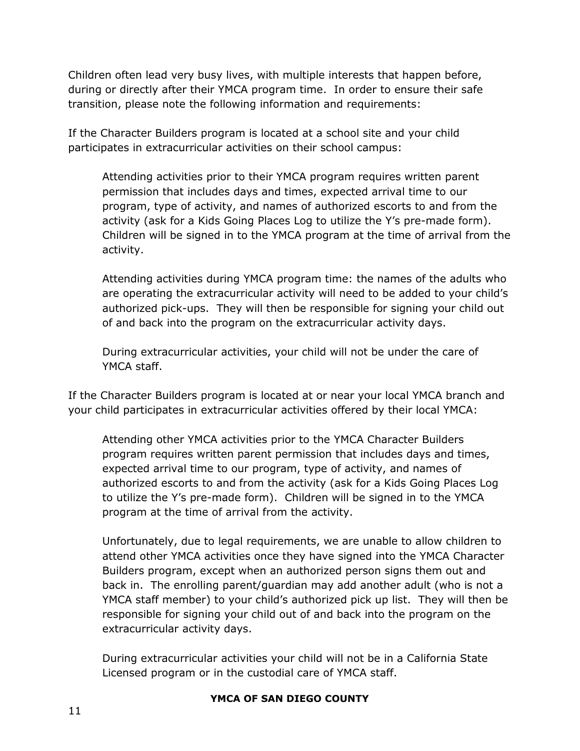Children often lead very busy lives, with multiple interests that happen before, during or directly after their YMCA program time. In order to ensure their safe transition, please note the following information and requirements:

If the Character Builders program is located at a school site and your child participates in extracurricular activities on their school campus:

Attending activities prior to their YMCA program requires written parent permission that includes days and times, expected arrival time to our program, type of activity, and names of authorized escorts to and from the activity (ask for a Kids Going Places Log to utilize the Y's pre-made form). Children will be signed in to the YMCA program at the time of arrival from the activity.

Attending activities during YMCA program time: the names of the adults who are operating the extracurricular activity will need to be added to your child's authorized pick-ups. They will then be responsible for signing your child out of and back into the program on the extracurricular activity days.

During extracurricular activities, your child will not be under the care of YMCA staff.

If the Character Builders program is located at or near your local YMCA branch and your child participates in extracurricular activities offered by their local YMCA:

Attending other YMCA activities prior to the YMCA Character Builders program requires written parent permission that includes days and times, expected arrival time to our program, type of activity, and names of authorized escorts to and from the activity (ask for a Kids Going Places Log to utilize the Y's pre-made form). Children will be signed in to the YMCA program at the time of arrival from the activity.

Unfortunately, due to legal requirements, we are unable to allow children to attend other YMCA activities once they have signed into the YMCA Character Builders program, except when an authorized person signs them out and back in. The enrolling parent/guardian may add another adult (who is not a YMCA staff member) to your child's authorized pick up list. They will then be responsible for signing your child out of and back into the program on the extracurricular activity days.

During extracurricular activities your child will not be in a California State Licensed program or in the custodial care of YMCA staff.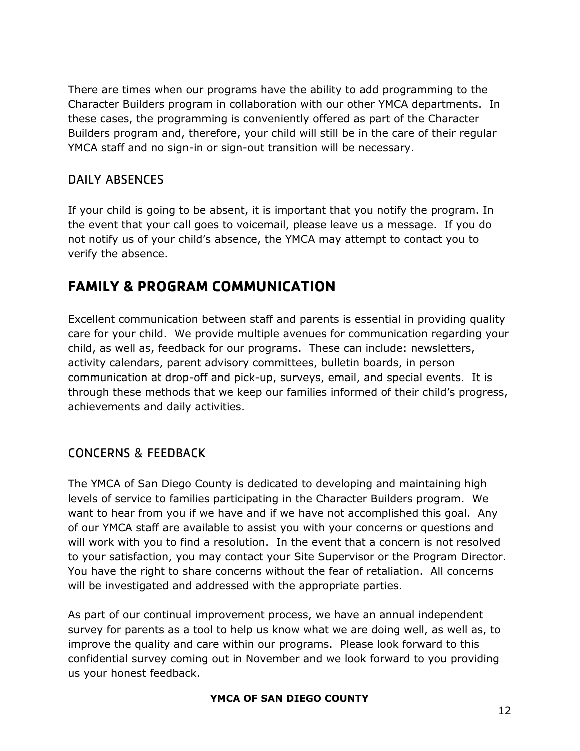There are times when our programs have the ability to add programming to the Character Builders program in collaboration with our other YMCA departments. In these cases, the programming is conveniently offered as part of the Character Builders program and, therefore, your child will still be in the care of their regular YMCA staff and no sign-in or sign-out transition will be necessary.

# <span id="page-12-0"></span>DAILY ABSENCES

If your child is going to be absent, it is important that you notify the program. In the event that your call goes to voicemail, please leave us a message. If you do not notify us of your child's absence, the YMCA may attempt to contact you to verify the absence.

# <span id="page-12-1"></span>**FAMILY & PROGRAM COMMUNICATION**

Excellent communication between staff and parents is essential in providing quality care for your child. We provide multiple avenues for communication regarding your child, as well as, feedback for our programs. These can include: newsletters, activity calendars, parent advisory committees, bulletin boards, in person communication at drop-off and pick-up, surveys, email, and special events. It is through these methods that we keep our families informed of their child's progress, achievements and daily activities.

# <span id="page-12-2"></span>CONCERNS & FEEDBACK

The YMCA of San Diego County is dedicated to developing and maintaining high levels of service to families participating in the Character Builders program. We want to hear from you if we have and if we have not accomplished this goal. Any of our YMCA staff are available to assist you with your concerns or questions and will work with you to find a resolution. In the event that a concern is not resolved to your satisfaction, you may contact your Site Supervisor or the Program Director. You have the right to share concerns without the fear of retaliation. All concerns will be investigated and addressed with the appropriate parties.

As part of our continual improvement process, we have an annual independent survey for parents as a tool to help us know what we are doing well, as well as, to improve the quality and care within our programs. Please look forward to this confidential survey coming out in November and we look forward to you providing us your honest feedback.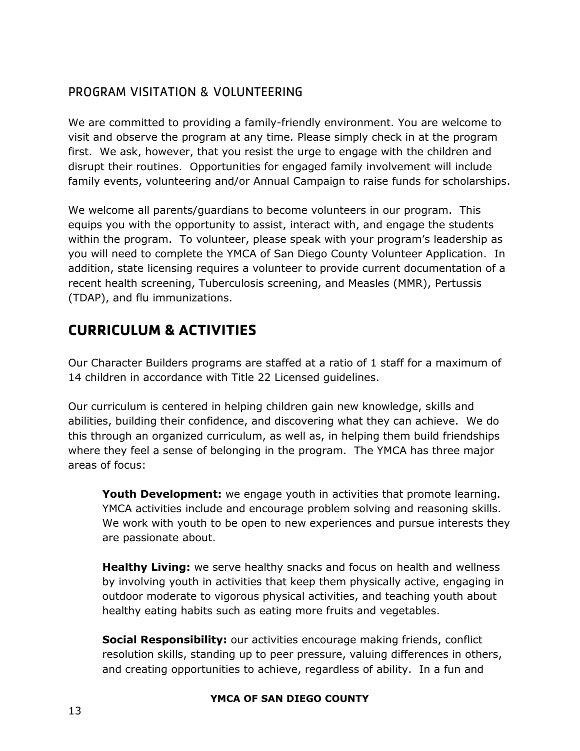## <span id="page-13-0"></span>PROGRAM VISITATION & VOLUNTEERING

We are committed to providing a family-friendly environment. You are welcome to visit and observe the program at any time. Please simply check in at the program first. We ask, however, that you resist the urge to engage with the children and disrupt their routines. Opportunities for engaged family involvement will include family events, volunteering and/or Annual Campaign to raise funds for scholarships.

We welcome all parents/guardians to become volunteers in our program. This equips you with the opportunity to assist, interact with, and engage the students within the program. To volunteer, please speak with your program's leadership as you will need to complete the YMCA of San Diego County Volunteer Application. In addition, state licensing requires a volunteer to provide current documentation of a recent health screening, Tuberculosis screening, and Measles (MMR), Pertussis (TDAP), and flu immunizations.

# <span id="page-13-1"></span>**CURRICULUM & ACTIVITIES**

Our Character Builders programs are staffed at a ratio of 1 staff for a maximum of 14 children in accordance with Title 22 Licensed guidelines.

Our curriculum is centered in helping children gain new knowledge, skills and abilities, building their confidence, and discovering what they can achieve. We do this through an organized curriculum, as well as, in helping them build friendships where they feel a sense of belonging in the program. The YMCA has three major areas of focus:

**Youth Development:** we engage youth in activities that promote learning. YMCA activities include and encourage problem solving and reasoning skills. We work with youth to be open to new experiences and pursue interests they are passionate about.

**Healthy Living:** we serve healthy snacks and focus on health and wellness by involving youth in activities that keep them physically active, engaging in outdoor moderate to vigorous physical activities, and teaching youth about healthy eating habits such as eating more fruits and vegetables.

**Social Responsibility:** our activities encourage making friends, conflict resolution skills, standing up to peer pressure, valuing differences in others, and creating opportunities to achieve, regardless of ability. In a fun and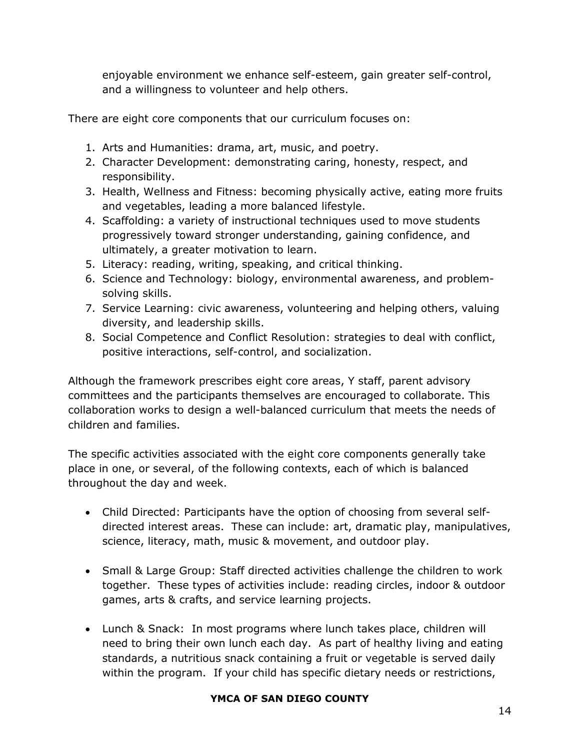enjoyable environment we enhance self-esteem, gain greater self-control, and a willingness to volunteer and help others.

There are eight core components that our curriculum focuses on:

- 1. Arts and Humanities: drama, art, music, and poetry.
- 2. Character Development: demonstrating caring, honesty, respect, and responsibility.
- 3. Health, Wellness and Fitness: becoming physically active, eating more fruits and vegetables, leading a more balanced lifestyle.
- 4. Scaffolding: a variety of instructional techniques used to move students progressively toward stronger understanding, gaining confidence, and ultimately, a greater motivation to learn.
- 5. Literacy: reading, writing, speaking, and critical thinking.
- 6. Science and Technology: biology, environmental awareness, and problemsolving skills.
- 7. Service Learning: civic awareness, volunteering and helping others, valuing diversity, and leadership skills.
- 8. Social Competence and Conflict Resolution: strategies to deal with conflict, positive interactions, self-control, and socialization.

Although the framework prescribes eight core areas, Y staff, parent advisory committees and the participants themselves are encouraged to collaborate. This collaboration works to design a well-balanced curriculum that meets the needs of children and families.

The specific activities associated with the eight core components generally take place in one, or several, of the following contexts, each of which is balanced throughout the day and week.

- Child Directed: Participants have the option of choosing from several selfdirected interest areas. These can include: art, dramatic play, manipulatives, science, literacy, math, music & movement, and outdoor play.
- Small & Large Group: Staff directed activities challenge the children to work together. These types of activities include: reading circles, indoor & outdoor games, arts & crafts, and service learning projects.
- Lunch & Snack: In most programs where lunch takes place, children will need to bring their own lunch each day. As part of healthy living and eating standards, a nutritious snack containing a fruit or vegetable is served daily within the program. If your child has specific dietary needs or restrictions,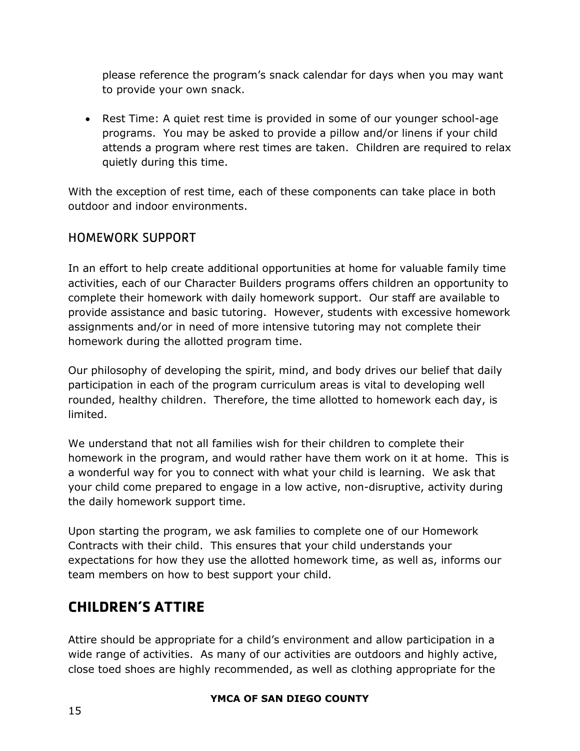please reference the program's snack calendar for days when you may want to provide your own snack.

 Rest Time: A quiet rest time is provided in some of our younger school-age programs. You may be asked to provide a pillow and/or linens if your child attends a program where rest times are taken. Children are required to relax quietly during this time.

With the exception of rest time, each of these components can take place in both outdoor and indoor environments.

## <span id="page-15-0"></span>HOMEWORK SUPPORT

In an effort to help create additional opportunities at home for valuable family time activities, each of our Character Builders programs offers children an opportunity to complete their homework with daily homework support. Our staff are available to provide assistance and basic tutoring. However, students with excessive homework assignments and/or in need of more intensive tutoring may not complete their homework during the allotted program time.

Our philosophy of developing the spirit, mind, and body drives our belief that daily participation in each of the program curriculum areas is vital to developing well rounded, healthy children. Therefore, the time allotted to homework each day, is limited.

We understand that not all families wish for their children to complete their homework in the program, and would rather have them work on it at home. This is a wonderful way for you to connect with what your child is learning. We ask that your child come prepared to engage in a low active, non-disruptive, activity during the daily homework support time.

Upon starting the program, we ask families to complete one of our Homework Contracts with their child. This ensures that your child understands your expectations for how they use the allotted homework time, as well as, informs our team members on how to best support your child.

# <span id="page-15-1"></span>**CHILDREN'S ATTIRE**

Attire should be appropriate for a child's environment and allow participation in a wide range of activities. As many of our activities are outdoors and highly active, close toed shoes are highly recommended, as well as clothing appropriate for the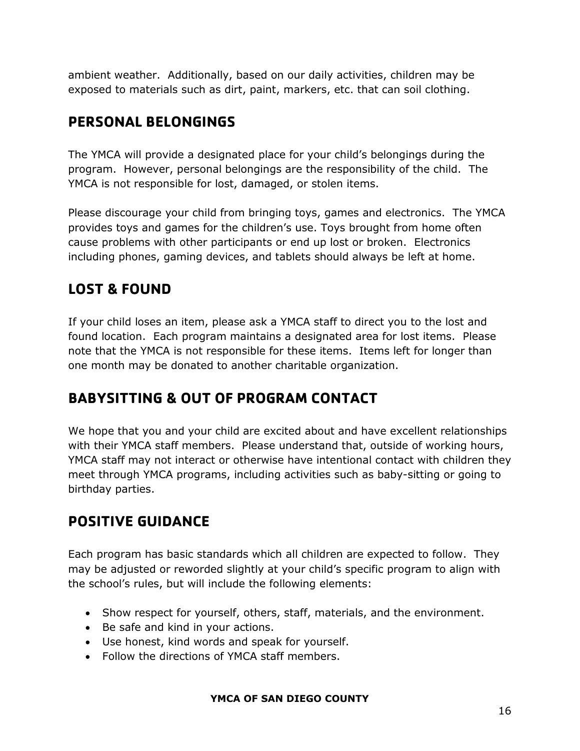ambient weather. Additionally, based on our daily activities, children may be exposed to materials such as dirt, paint, markers, etc. that can soil clothing.

# <span id="page-16-0"></span>**PERSONAL BELONGINGS**

The YMCA will provide a designated place for your child's belongings during the program. However, personal belongings are the responsibility of the child. The YMCA is not responsible for lost, damaged, or stolen items.

Please discourage your child from bringing toys, games and electronics. The YMCA provides toys and games for the children's use. Toys brought from home often cause problems with other participants or end up lost or broken. Electronics including phones, gaming devices, and tablets should always be left at home.

# <span id="page-16-1"></span>**LOST & FOUND**

If your child loses an item, please ask a YMCA staff to direct you to the lost and found location. Each program maintains a designated area for lost items. Please note that the YMCA is not responsible for these items. Items left for longer than one month may be donated to another charitable organization.

# <span id="page-16-2"></span>**BABYSITTING & OUT OF PROGRAM CONTACT**

We hope that you and your child are excited about and have excellent relationships with their YMCA staff members. Please understand that, outside of working hours, YMCA staff may not interact or otherwise have intentional contact with children they meet through YMCA programs, including activities such as baby-sitting or going to birthday parties.

# <span id="page-16-3"></span>**POSITIVE GUIDANCE**

Each program has basic standards which all children are expected to follow. They may be adjusted or reworded slightly at your child's specific program to align with the school's rules, but will include the following elements:

- Show respect for yourself, others, staff, materials, and the environment.
- Be safe and kind in your actions.
- Use honest, kind words and speak for yourself.
- Follow the directions of YMCA staff members.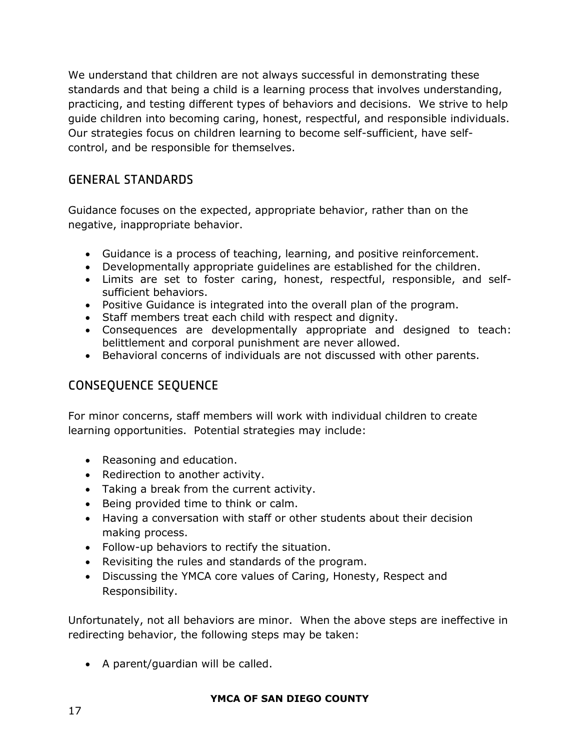We understand that children are not always successful in demonstrating these standards and that being a child is a learning process that involves understanding, practicing, and testing different types of behaviors and decisions. We strive to help guide children into becoming caring, honest, respectful, and responsible individuals. Our strategies focus on children learning to become self-sufficient, have selfcontrol, and be responsible for themselves.

## <span id="page-17-0"></span>GENERAL STANDARDS

Guidance focuses on the expected, appropriate behavior, rather than on the negative, inappropriate behavior.

- Guidance is a process of teaching, learning, and positive reinforcement.
- Developmentally appropriate guidelines are established for the children.
- Limits are set to foster caring, honest, respectful, responsible, and selfsufficient behaviors.
- Positive Guidance is integrated into the overall plan of the program.
- Staff members treat each child with respect and dignity.
- Consequences are developmentally appropriate and designed to teach: belittlement and corporal punishment are never allowed.
- Behavioral concerns of individuals are not discussed with other parents.

# <span id="page-17-1"></span>CONSEQUENCE SEQUENCE

For minor concerns, staff members will work with individual children to create learning opportunities. Potential strategies may include:

- Reasoning and education.
- Redirection to another activity.
- Taking a break from the current activity.
- Being provided time to think or calm.
- Having a conversation with staff or other students about their decision making process.
- Follow-up behaviors to rectify the situation.
- Revisiting the rules and standards of the program.
- Discussing the YMCA core values of Caring, Honesty, Respect and Responsibility.

Unfortunately, not all behaviors are minor. When the above steps are ineffective in redirecting behavior, the following steps may be taken:

• A parent/guardian will be called.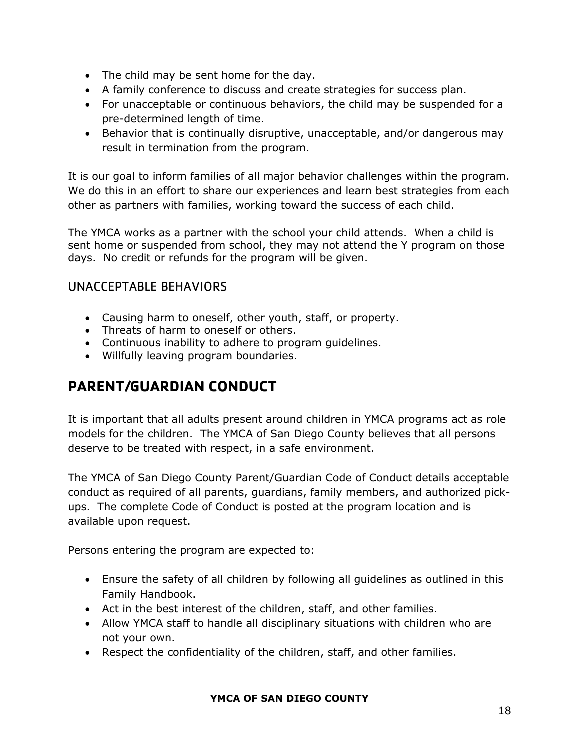- The child may be sent home for the day.
- A family conference to discuss and create strategies for success plan.
- For unacceptable or continuous behaviors, the child may be suspended for a pre-determined length of time.
- Behavior that is continually disruptive, unacceptable, and/or dangerous may result in termination from the program.

It is our goal to inform families of all major behavior challenges within the program. We do this in an effort to share our experiences and learn best strategies from each other as partners with families, working toward the success of each child.

The YMCA works as a partner with the school your child attends. When a child is sent home or suspended from school, they may not attend the Y program on those days. No credit or refunds for the program will be given.

# <span id="page-18-0"></span>UNACCEPTABLE BEHAVIORS

- Causing harm to oneself, other youth, staff, or property.
- Threats of harm to oneself or others.
- Continuous inability to adhere to program guidelines.
- Willfully leaving program boundaries.

# <span id="page-18-1"></span>**PARENT/GUARDIAN CONDUCT**

It is important that all adults present around children in YMCA programs act as role models for the children. The YMCA of San Diego County believes that all persons deserve to be treated with respect, in a safe environment.

The YMCA of San Diego County Parent/Guardian Code of Conduct details acceptable conduct as required of all parents, guardians, family members, and authorized pickups. The complete Code of Conduct is posted at the program location and is available upon request.

Persons entering the program are expected to:

- Ensure the safety of all children by following all guidelines as outlined in this Family Handbook.
- Act in the best interest of the children, staff, and other families.
- Allow YMCA staff to handle all disciplinary situations with children who are not your own.
- Respect the confidentiality of the children, staff, and other families.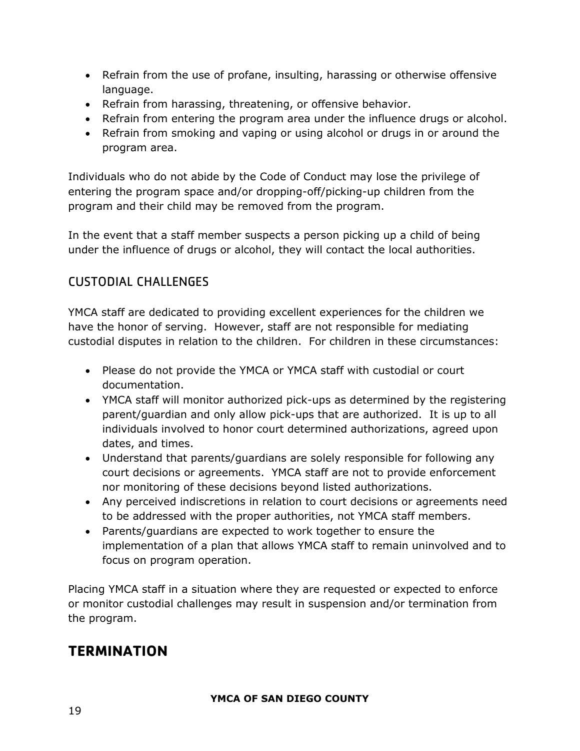- Refrain from the use of profane, insulting, harassing or otherwise offensive language.
- Refrain from harassing, threatening, or offensive behavior.
- Refrain from entering the program area under the influence drugs or alcohol.
- Refrain from smoking and vaping or using alcohol or drugs in or around the program area.

Individuals who do not abide by the Code of Conduct may lose the privilege of entering the program space and/or dropping-off/picking-up children from the program and their child may be removed from the program.

In the event that a staff member suspects a person picking up a child of being under the influence of drugs or alcohol, they will contact the local authorities.

# <span id="page-19-0"></span>CUSTODIAL CHALLENGES

YMCA staff are dedicated to providing excellent experiences for the children we have the honor of serving. However, staff are not responsible for mediating custodial disputes in relation to the children. For children in these circumstances:

- Please do not provide the YMCA or YMCA staff with custodial or court documentation.
- YMCA staff will monitor authorized pick-ups as determined by the registering parent/guardian and only allow pick-ups that are authorized. It is up to all individuals involved to honor court determined authorizations, agreed upon dates, and times.
- Understand that parents/guardians are solely responsible for following any court decisions or agreements. YMCA staff are not to provide enforcement nor monitoring of these decisions beyond listed authorizations.
- Any perceived indiscretions in relation to court decisions or agreements need to be addressed with the proper authorities, not YMCA staff members.
- Parents/guardians are expected to work together to ensure the implementation of a plan that allows YMCA staff to remain uninvolved and to focus on program operation.

Placing YMCA staff in a situation where they are requested or expected to enforce or monitor custodial challenges may result in suspension and/or termination from the program.

# <span id="page-19-1"></span>**TERMINATION**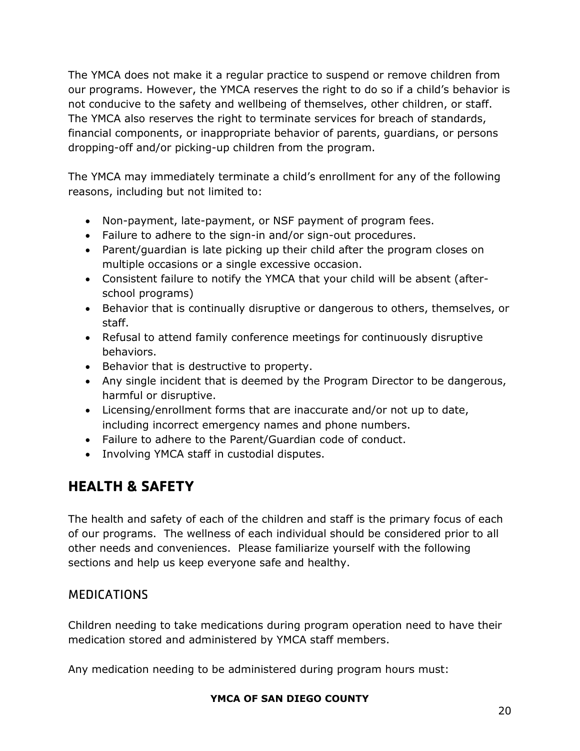The YMCA does not make it a regular practice to suspend or remove children from our programs. However, the YMCA reserves the right to do so if a child's behavior is not conducive to the safety and wellbeing of themselves, other children, or staff. The YMCA also reserves the right to terminate services for breach of standards, financial components, or inappropriate behavior of parents, guardians, or persons dropping-off and/or picking-up children from the program.

The YMCA may immediately terminate a child's enrollment for any of the following reasons, including but not limited to:

- Non-payment, late-payment, or NSF payment of program fees.
- Failure to adhere to the sign-in and/or sign-out procedures.
- Parent/guardian is late picking up their child after the program closes on multiple occasions or a single excessive occasion.
- Consistent failure to notify the YMCA that your child will be absent (afterschool programs)
- Behavior that is continually disruptive or dangerous to others, themselves, or staff.
- Refusal to attend family conference meetings for continuously disruptive behaviors.
- Behavior that is destructive to property.
- Any single incident that is deemed by the Program Director to be dangerous, harmful or disruptive.
- Licensing/enrollment forms that are inaccurate and/or not up to date, including incorrect emergency names and phone numbers.
- Failure to adhere to the Parent/Guardian code of conduct.
- Involving YMCA staff in custodial disputes.

# <span id="page-20-0"></span>**HEALTH & SAFETY**

The health and safety of each of the children and staff is the primary focus of each of our programs. The wellness of each individual should be considered prior to all other needs and conveniences. Please familiarize yourself with the following sections and help us keep everyone safe and healthy.

# <span id="page-20-1"></span>**MEDICATIONS**

Children needing to take medications during program operation need to have their medication stored and administered by YMCA staff members.

Any medication needing to be administered during program hours must: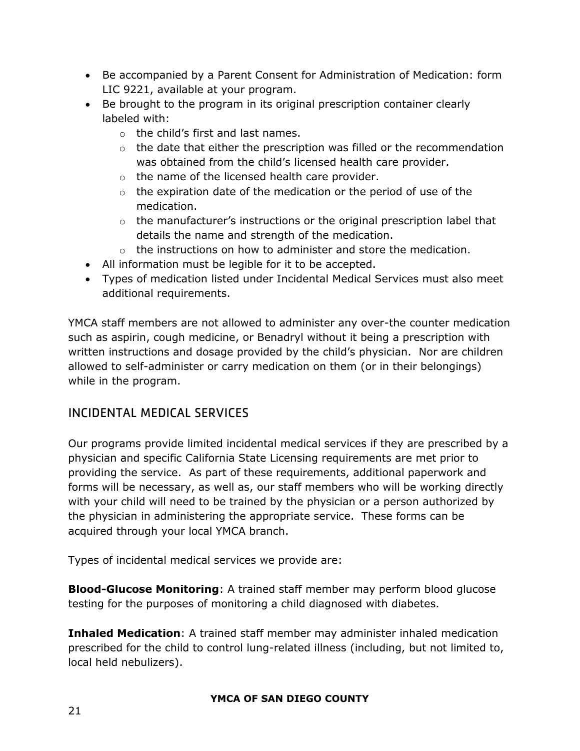- Be accompanied by a Parent Consent for Administration of Medication: form LIC 9221, available at your program.
- Be brought to the program in its original prescription container clearly labeled with:
	- o the child's first and last names.
	- $\circ$  the date that either the prescription was filled or the recommendation was obtained from the child's licensed health care provider.
	- $\circ$  the name of the licensed health care provider.
	- $\circ$  the expiration date of the medication or the period of use of the medication.
	- $\circ$  the manufacturer's instructions or the original prescription label that details the name and strength of the medication.
	- o the instructions on how to administer and store the medication.
- All information must be legible for it to be accepted.
- Types of medication listed under Incidental Medical Services must also meet additional requirements.

YMCA staff members are not allowed to administer any over-the counter medication such as aspirin, cough medicine, or Benadryl without it being a prescription with written instructions and dosage provided by the child's physician. Nor are children allowed to self-administer or carry medication on them (or in their belongings) while in the program.

# <span id="page-21-0"></span>INCIDENTAL MEDICAL SERVICES

Our programs provide limited incidental medical services if they are prescribed by a physician and specific California State Licensing requirements are met prior to providing the service. As part of these requirements, additional paperwork and forms will be necessary, as well as, our staff members who will be working directly with your child will need to be trained by the physician or a person authorized by the physician in administering the appropriate service. These forms can be acquired through your local YMCA branch.

Types of incidental medical services we provide are:

**Blood-Glucose Monitoring**: A trained staff member may perform blood glucose testing for the purposes of monitoring a child diagnosed with diabetes.

**Inhaled Medication**: A trained staff member may administer inhaled medication prescribed for the child to control lung-related illness (including, but not limited to, local held nebulizers).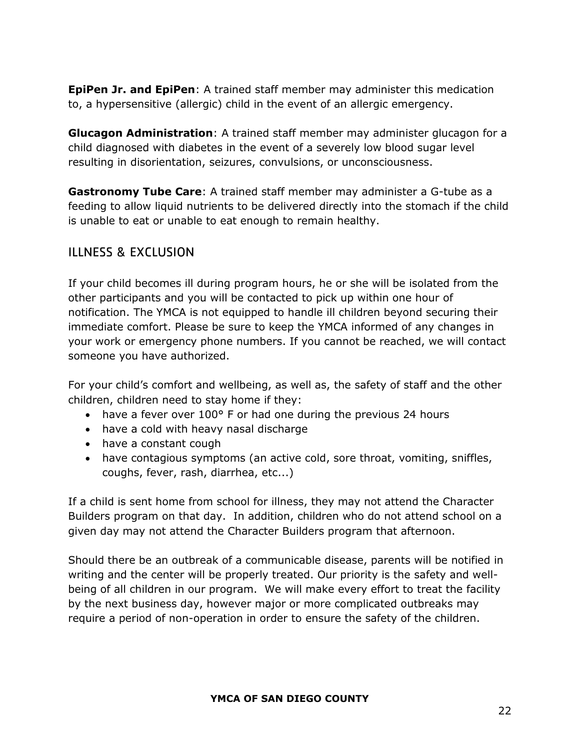**EpiPen Jr. and EpiPen**: A trained staff member may administer this medication to, a hypersensitive (allergic) child in the event of an allergic emergency.

**Glucagon Administration**: A trained staff member may administer glucagon for a child diagnosed with diabetes in the event of a severely low blood sugar level resulting in disorientation, seizures, convulsions, or unconsciousness.

**Gastronomy Tube Care**: A trained staff member may administer a G-tube as a feeding to allow liquid nutrients to be delivered directly into the stomach if the child is unable to eat or unable to eat enough to remain healthy.

### <span id="page-22-0"></span>ILLNESS & EXCLUSION

If your child becomes ill during program hours, he or she will be isolated from the other participants and you will be contacted to pick up within one hour of notification. The YMCA is not equipped to handle ill children beyond securing their immediate comfort. Please be sure to keep the YMCA informed of any changes in your work or emergency phone numbers. If you cannot be reached, we will contact someone you have authorized.

For your child's comfort and wellbeing, as well as, the safety of staff and the other children, children need to stay home if they:

- have a fever over 100° F or had one during the previous 24 hours
- have a cold with heavy nasal discharge
- have a constant cough
- have contagious symptoms (an active cold, sore throat, vomiting, sniffles, coughs, fever, rash, diarrhea, etc...)

If a child is sent home from school for illness, they may not attend the Character Builders program on that day. In addition, children who do not attend school on a given day may not attend the Character Builders program that afternoon.

Should there be an outbreak of a communicable disease, parents will be notified in writing and the center will be properly treated. Our priority is the safety and wellbeing of all children in our program. We will make every effort to treat the facility by the next business day, however major or more complicated outbreaks may require a period of non-operation in order to ensure the safety of the children.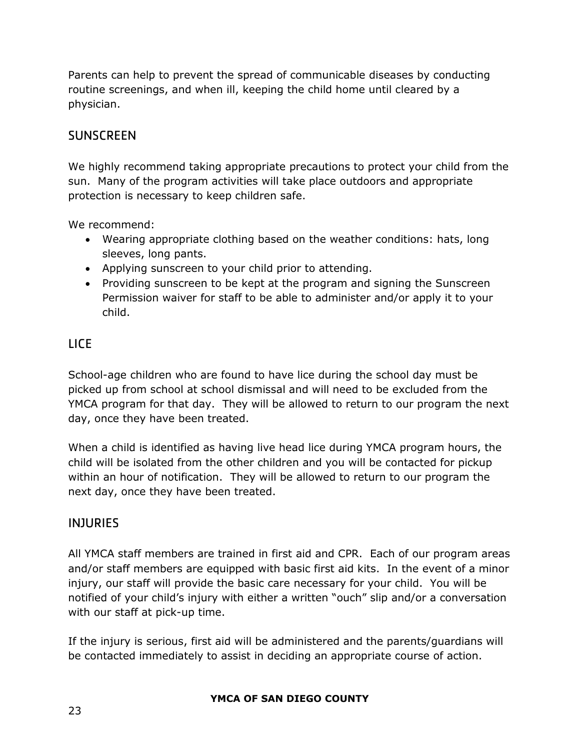Parents can help to prevent the spread of communicable diseases by conducting routine screenings, and when ill, keeping the child home until cleared by a physician.

## <span id="page-23-0"></span>**SUNSCREEN**

We highly recommend taking appropriate precautions to protect your child from the sun. Many of the program activities will take place outdoors and appropriate protection is necessary to keep children safe.

We recommend:

- Wearing appropriate clothing based on the weather conditions: hats, long sleeves, long pants.
- Applying sunscreen to your child prior to attending.
- Providing sunscreen to be kept at the program and signing the Sunscreen Permission waiver for staff to be able to administer and/or apply it to your child.

## <span id="page-23-1"></span>LICE

School-age children who are found to have lice during the school day must be picked up from school at school dismissal and will need to be excluded from the YMCA program for that day. They will be allowed to return to our program the next day, once they have been treated.

When a child is identified as having live head lice during YMCA program hours, the child will be isolated from the other children and you will be contacted for pickup within an hour of notification. They will be allowed to return to our program the next day, once they have been treated.

## <span id="page-23-2"></span>INJURIES

All YMCA staff members are trained in first aid and CPR. Each of our program areas and/or staff members are equipped with basic first aid kits. In the event of a minor injury, our staff will provide the basic care necessary for your child. You will be notified of your child's injury with either a written "ouch" slip and/or a conversation with our staff at pick-up time.

If the injury is serious, first aid will be administered and the parents/guardians will be contacted immediately to assist in deciding an appropriate course of action.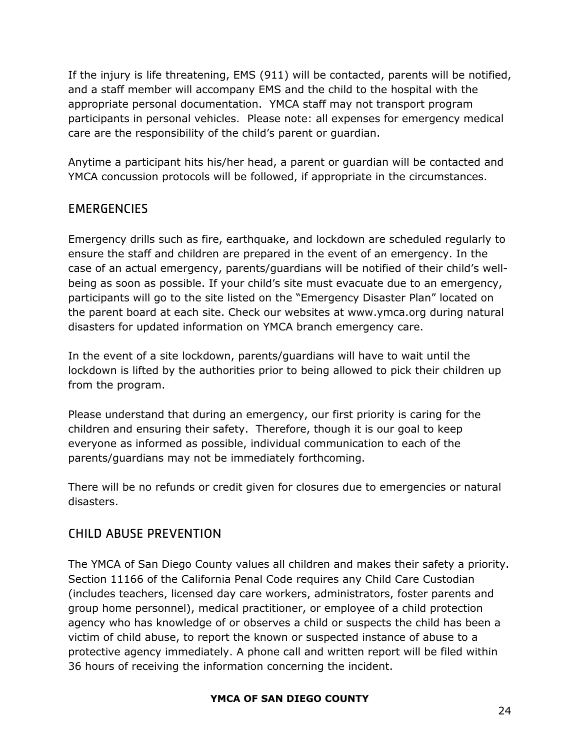If the injury is life threatening, EMS (911) will be contacted, parents will be notified, and a staff member will accompany EMS and the child to the hospital with the appropriate personal documentation. YMCA staff may not transport program participants in personal vehicles. Please note: all expenses for emergency medical care are the responsibility of the child's parent or guardian.

Anytime a participant hits his/her head, a parent or guardian will be contacted and YMCA concussion protocols will be followed, if appropriate in the circumstances.

## <span id="page-24-0"></span>**EMERGENCIES**

Emergency drills such as fire, earthquake, and lockdown are scheduled regularly to ensure the staff and children are prepared in the event of an emergency. In the case of an actual emergency, parents/guardians will be notified of their child's wellbeing as soon as possible. If your child's site must evacuate due to an emergency, participants will go to the site listed on the "Emergency Disaster Plan" located on the parent board at each site. Check our websites at www.ymca.org during natural disasters for updated information on YMCA branch emergency care.

In the event of a site lockdown, parents/guardians will have to wait until the lockdown is lifted by the authorities prior to being allowed to pick their children up from the program.

Please understand that during an emergency, our first priority is caring for the children and ensuring their safety. Therefore, though it is our goal to keep everyone as informed as possible, individual communication to each of the parents/guardians may not be immediately forthcoming.

There will be no refunds or credit given for closures due to emergencies or natural disasters.

# <span id="page-24-1"></span>CHILD ABUSE PREVENTION

The YMCA of San Diego County values all children and makes their safety a priority. Section 11166 of the California Penal Code requires any Child Care Custodian (includes teachers, licensed day care workers, administrators, foster parents and group home personnel), medical practitioner, or employee of a child protection agency who has knowledge of or observes a child or suspects the child has been a victim of child abuse, to report the known or suspected instance of abuse to a protective agency immediately. A phone call and written report will be filed within 36 hours of receiving the information concerning the incident.